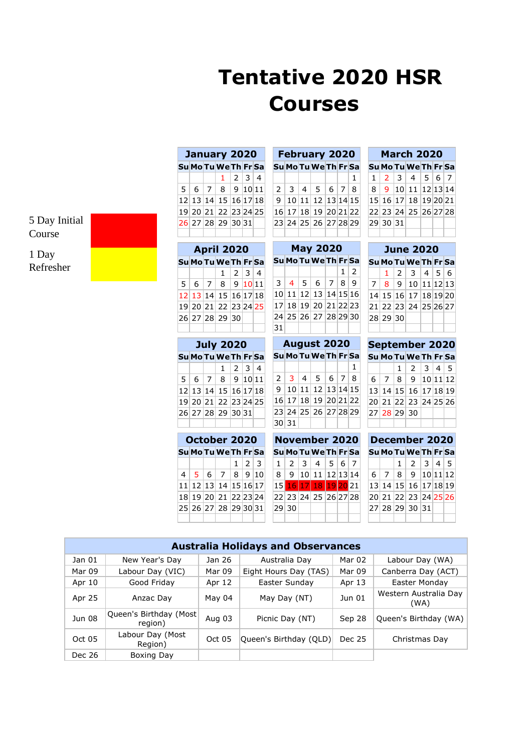## **Tentative 2020 HSR Courses**

5 Day Initial Course

1 Day Refresher

| January 2020 |  |  |                      |                          |  |  |  |  |  |  |  |
|--------------|--|--|----------------------|--------------------------|--|--|--|--|--|--|--|
|              |  |  | Su Mo Tu We Th Fr Sa |                          |  |  |  |  |  |  |  |
|              |  |  |                      | $1 \mid 2 \mid 3 \mid 4$ |  |  |  |  |  |  |  |
|              |  |  | 5 6 7 8 9 10 11      |                          |  |  |  |  |  |  |  |
|              |  |  | 12 13 14 15 16 17 18 |                          |  |  |  |  |  |  |  |
|              |  |  | 19 20 21 22 23 24 25 |                          |  |  |  |  |  |  |  |
|              |  |  | 26 27 28 29 30 31    |                          |  |  |  |  |  |  |  |
|              |  |  |                      |                          |  |  |  |  |  |  |  |

| <b>April 2020</b> |  |  |                             |                          |  |  |  |  |  |  |
|-------------------|--|--|-----------------------------|--------------------------|--|--|--|--|--|--|
|                   |  |  | Su Mo Tu We Th Fr Sa        |                          |  |  |  |  |  |  |
|                   |  |  |                             | $1 \mid 2 \mid 3 \mid 4$ |  |  |  |  |  |  |
|                   |  |  | 5   6   7   8   9   10   11 |                          |  |  |  |  |  |  |
|                   |  |  | 12 13 14 15 16 17 18        |                          |  |  |  |  |  |  |
|                   |  |  | 19 20 21 22 23 24 25        |                          |  |  |  |  |  |  |
|                   |  |  | 26 27 28 29 30              |                          |  |  |  |  |  |  |
|                   |  |  |                             |                          |  |  |  |  |  |  |

**July 2020 Su Mo Tu WeTh Fr Sa**

 6 7 8 9 10 11 13 14 15 16 17 18 20 21 22 23 24 25 27 28 29 30 31

1 2 3 4

| <b>February 2020</b> |  |  |                      |  |  |              |  |  |  |  |  |
|----------------------|--|--|----------------------|--|--|--------------|--|--|--|--|--|
|                      |  |  | Su Mo Tu We Th Fr Sa |  |  |              |  |  |  |  |  |
|                      |  |  |                      |  |  | $\mathbf{1}$ |  |  |  |  |  |
|                      |  |  | 2 3 4 5 6 7 8        |  |  |              |  |  |  |  |  |
|                      |  |  | 9 10 11 12 13 14 15  |  |  |              |  |  |  |  |  |
|                      |  |  | 16 17 18 19 20 21 22 |  |  |              |  |  |  |  |  |
|                      |  |  | 23 24 25 26 27 28 29 |  |  |              |  |  |  |  |  |
|                      |  |  |                      |  |  |              |  |  |  |  |  |

| <b>May 2020</b> |                      |  |                           |  |            |  |  |  |  |  |  |
|-----------------|----------------------|--|---------------------------|--|------------|--|--|--|--|--|--|
|                 | Su Mo Tu We Th Fr Sa |  |                           |  |            |  |  |  |  |  |  |
|                 |                      |  |                           |  | $1 \mid 2$ |  |  |  |  |  |  |
|                 |                      |  | 3   4   5   6   7   8   9 |  |            |  |  |  |  |  |  |
|                 |                      |  | 10 11 12 13 14 15 16      |  |            |  |  |  |  |  |  |
|                 |                      |  | 17 18 19 20 21 22 23      |  |            |  |  |  |  |  |  |
|                 |                      |  | 24 25 26 27 28 29 30      |  |            |  |  |  |  |  |  |
| 31              |                      |  |                           |  |            |  |  |  |  |  |  |

**August 2020 Su Mo TuWe Th Fr Sa**

2 3 4 5 6 7 8 9 10 11 12 13 14 15

1

| <b>June 2020</b> |          |  |                                        |  |  |  |  |  |  |  |
|------------------|----------|--|----------------------------------------|--|--|--|--|--|--|--|
|                  |          |  | Su Mo Tu We Th Fr Sal                  |  |  |  |  |  |  |  |
|                  |          |  | $1 \mid 2 \mid 3 \mid 4 \mid 5 \mid 6$ |  |  |  |  |  |  |  |
|                  |          |  | 7   8   9   10   11   12   13          |  |  |  |  |  |  |  |
|                  |          |  | 14 15 16 17 18 19 20                   |  |  |  |  |  |  |  |
|                  |          |  | 21 22 23 24 25 26 27                   |  |  |  |  |  |  |  |
|                  | 28 29 30 |  |                                        |  |  |  |  |  |  |  |
|                  |          |  |                                        |  |  |  |  |  |  |  |
|                  |          |  | <b>September 2020</b>                  |  |  |  |  |  |  |  |

29 30 31

**March 2020 Su Mo Tu We Th Fr Sa**  $1 \ 2 \ 3 \ 4 \ 5 \ 6 \ 7$ 8 9 10 11 12 13 14 15 16 17 18 19 20 21 22 23 24 25 26 27 28

| September 2020 |             |  |                                                  |  |  |  |  |  |  |  |
|----------------|-------------|--|--------------------------------------------------|--|--|--|--|--|--|--|
|                |             |  | Su Mo Tu We Th Fr Sa                             |  |  |  |  |  |  |  |
|                |             |  | $1 \mid 2 \mid 3 \mid 4 \mid 5$                  |  |  |  |  |  |  |  |
|                |             |  | $6 \mid 7 \mid 8 \mid 9 \mid 10 \mid 11 \mid 12$ |  |  |  |  |  |  |  |
|                |             |  | 13 14 15 16 17 18 19                             |  |  |  |  |  |  |  |
|                |             |  | 20 21 22 23 24 25 26                             |  |  |  |  |  |  |  |
|                | 27 28 29 30 |  |                                                  |  |  |  |  |  |  |  |
|                |             |  |                                                  |  |  |  |  |  |  |  |

| October 2020 |  |  |                                                |  |       |  |  |  |  |  |  |
|--------------|--|--|------------------------------------------------|--|-------|--|--|--|--|--|--|
|              |  |  | Su Mo Tu We Th Fr Sa                           |  |       |  |  |  |  |  |  |
|              |  |  |                                                |  | 1 2 3 |  |  |  |  |  |  |
|              |  |  | $4 \mid 5 \mid 6 \mid 7 \mid 8 \mid 9 \mid 10$ |  |       |  |  |  |  |  |  |
|              |  |  | 11 12 13 14 15 16 17                           |  |       |  |  |  |  |  |  |
|              |  |  | 18 19 20 21 22 23 24                           |  |       |  |  |  |  |  |  |
|              |  |  | 25 26 27 28 29 30 31                           |  |       |  |  |  |  |  |  |
|              |  |  |                                                |  |       |  |  |  |  |  |  |

|       | 16 17 18 19 20 21 22                               |  |  |
|-------|----------------------------------------------------|--|--|
|       | 23 24 25 26 27 28 29                               |  |  |
| 30 31 |                                                    |  |  |
|       | <b>November 2020</b>                               |  |  |
|       |                                                    |  |  |
|       | Su Mo Tu We Th Fr Sa                               |  |  |
|       | $1 \mid 2 \mid 3 \mid 4 \mid 5 \mid 6 \mid 7$      |  |  |
|       |                                                    |  |  |
|       | $8 \mid 9 \mid 10 \mid 11 \mid 12 \mid 13 \mid 14$ |  |  |
|       | 15 16 17 18 19 20 21                               |  |  |
|       | 22 23 24 25 26 27 28                               |  |  |

| December 2020 |  |  |                                 |  |  |  |  |  |  |  |
|---------------|--|--|---------------------------------|--|--|--|--|--|--|--|
|               |  |  | Su Mo Tu We Th Fr Sa            |  |  |  |  |  |  |  |
|               |  |  | $1 \mid 2 \mid 3 \mid 4 \mid 5$ |  |  |  |  |  |  |  |
|               |  |  | 6 7 8 9 10 11 12                |  |  |  |  |  |  |  |
|               |  |  | 13 14 15 16 17 18 19            |  |  |  |  |  |  |  |
|               |  |  | 20 21 22 23 24 25 26            |  |  |  |  |  |  |  |
|               |  |  | 27 28 29 30 31                  |  |  |  |  |  |  |  |
|               |  |  |                                 |  |  |  |  |  |  |  |

|        | <b>Australia Holidays and Observances</b> |        |                        |        |                               |  |  |  |  |  |  |  |
|--------|-------------------------------------------|--------|------------------------|--------|-------------------------------|--|--|--|--|--|--|--|
| Jan 01 | New Year's Day                            | Jan 26 | Australia Day          | Mar 02 | Labour Day (WA)               |  |  |  |  |  |  |  |
| Mar 09 | Labour Day (VIC)                          | Mar 09 | Eight Hours Day (TAS)  | Mar 09 | Canberra Day (ACT)            |  |  |  |  |  |  |  |
| Apr 10 | Good Friday                               | Apr 12 | Easter Sunday          | Apr 13 | Easter Monday                 |  |  |  |  |  |  |  |
| Apr 25 | Anzac Day                                 | May 04 | May Day (NT)           | Jun 01 | Western Australia Day<br>(WA) |  |  |  |  |  |  |  |
| Jun 08 | Queen's Birthday (Most<br>region)         | Aug 03 | Picnic Day (NT)        | Sep 28 | Queen's Birthday (WA)         |  |  |  |  |  |  |  |
| Oct 05 | Labour Day (Most<br>Region)               | Oct 05 | Queen's Birthday (QLD) | Dec 25 | Christmas Day                 |  |  |  |  |  |  |  |
| Dec 26 | Boxing Day                                |        |                        |        |                               |  |  |  |  |  |  |  |